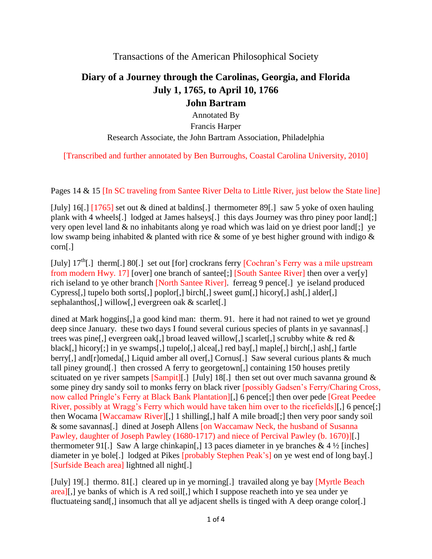Transactions of the American Philosophical Society

## **Diary of a Journey through the Carolinas, Georgia, and Florida July 1, 1765, to April 10, 1766**

## **John Bartram**

Annotated By Francis Harper Research Associate, the John Bartram Association, Philadelphia

[Transcribed and further annotated by Ben Burroughs, Coastal Carolina University, 2010]

Pages 14 & 15 [In SC traveling from Santee River Delta to Little River, just below the State line]

[July] 16[.] [1765] set out & dined at baldins[.] thermometer 89[.] saw 5 yoke of oxen hauling plank with 4 wheels[.] lodged at James halseys[.] this days Journey was thro piney poor land[;] very open level land & no inhabitants along ye road which was laid on ye driest poor land[;] ye low swamp being inhabited & planted with rice & some of ye best higher ground with indigo & corn[.]

[July]  $17<sup>th</sup>$ [.] therm[.] 80[.] set out [for] crockrans ferry [Cochran's Ferry was a mile upstream from modern Hwy. 17] [over] one branch of santee[;] [South Santee River] then over a ver[y] rich iseland to ye other branch [North Santee River]. ferreag 9 pence[.] ye iseland produced Cypress[,] tupelo both sorts[,] poplor[,] birch[,] sweet gum[,] hicory[,] ash[,] alder[,] sephalanthos[,] willow[,] evergreen oak & scarlet[.]

dined at Mark hoggins[,] a good kind man: therm. 91. here it had not rained to wet ye ground deep since January. these two days I found several curious species of plants in ye savannas. trees was pine[,] evergreen oak[,] broad leaved willow[,] scarlet[,] scrubby white & red & black[,] hicory[;] in ye swamps[,] tupelo[,] alcea[,] red bay[,] maple[,] birch[,] ash[,] fartle berry[,] and[r]omeda[,] Liquid amber all over[,] Cornus[.] Saw several curious plants & much tall piney ground[.] then crossed A ferry to georgetown[,] containing 150 houses pretily scituated on ye river sampets  $\lceil \text{Sampit} \rceil \rceil$ . [July] 18[.] then set out over much savanna ground  $\&$ some piney dry sandy soil to monks ferry on black river [possibly Gadsen's Ferry/Charing Cross, now called Pringle's Ferry at Black Bank Plantation][,] 6 pence[;] then over pede [Great Peedee River, possibly at Wragg's Ferry which would have taken him over to the ricefields][,] 6 pence[;] then Wocama [Waccamaw River][,] 1 shilling[,] half A mile broad[;] then very poor sandy soil & some savannas[.] dined at Joseph Allens [on Waccamaw Neck, the husband of Susanna Pawley, daughter of Joseph Pawley (1680-1717) and niece of Percival Pawley (b. 1670)][.] thermometer 91.] Saw A large chinkapin[,] 13 paces diameter in ye branches  $\& 4\frac{1}{2}$  [inches] diameter in ye bole<sup>[1]</sup> lodged at Pikes [probably Stephen Peak's] on ye west end of long bay[1] [Surfside Beach area] lightned all night[.]

[July] 19[.] thermo. 81[.] cleared up in ye morning[.] travailed along ye bay [Myrtle Beach] area][,] ye banks of which is A red soil[,] which I suppose reacheth into ye sea under ye fluctuateing sand[,] insomuch that all ye adjacent shells is tinged with A deep orange color[.]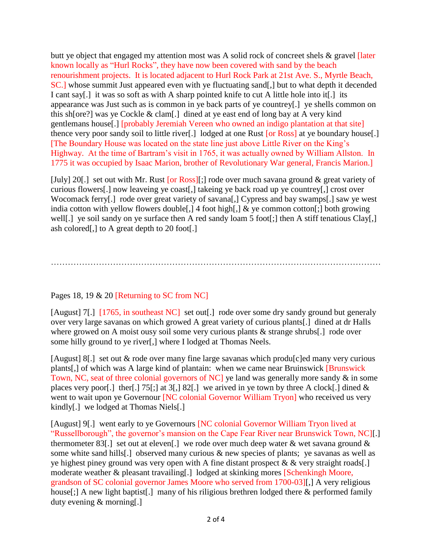butt ye object that engaged my attention most was A solid rock of concreet shels & gravel [later known locally as "Hurl Rocks", they have now been covered with sand by the beach renourishment projects. It is located adjacent to Hurl Rock Park at 21st Ave. S., Myrtle Beach, SC.] whose summit Just appeared even with ye fluctuating sand[,] but to what depth it decended I cant say[.] it was so soft as with A sharp pointed knife to cut A little hole into it[.] its appearance was Just such as is common in ye back parts of ye countrey[.] ye shells common on this sh[ore?] was ye Cockle & clam[.] dined at ye east end of long bay at A very kind gentlemans house[.] [probably Jeremiah Vereen who owned an indigo plantation at that site] thence very poor sandy soil to little river[.] lodged at one Rust [or Ross] at ye boundary house[.] [The Boundary House was located on the state line just above Little River on the King's Highway. At the time of Bartram's visit in 1765, it was actually owned by William Allston. In 1775 it was occupied by Isaac Marion, brother of Revolutionary War general, Francis Marion.]

[July] 20[.] set out with Mr. Rust [or Ross][;] rode over much savana ground & great variety of curious flowers[.] now leaveing ye coast[,] takeing ye back road up ye countrey[,] crost over Wocomack ferry[.] rode over great variety of savana[,] Cypress and bay swamps[.] saw ye west india cotton with yellow flowers double[,] 4 foot high[,] & ye common cotton[;] both growing well[.] ye soil sandy on ye surface then A red sandy loam 5 foot[;] then A stiff tenatious Clay[,] ash colored[,] to A great depth to 20 foot[.]

………………………………………………………………………………………………………

## Pages 18, 19 & 20 [Returning to SC from NC]

[August] 7[.] [1765, in southeast NC] set out[.] rode over some dry sandy ground but generaly over very large savanas on which growed A great variety of curious plants[.] dined at dr Halls where growed on A moist ousy soil some very curious plants & strange shrubs[.] rode over some hilly ground to ye river[,] where I lodged at Thomas Neels.

[August] 8[.] set out & rode over many fine large savanas which produ[c]ed many very curious plants[,] of which was A large kind of plantain: when we came near Bruinswick [Brunswick Town, NC, seat of three colonial governors of NC] ye land was generally more sandy & in some places very poor[.] ther[.] 75[;] at 3[,] 82[.] we arived in ye town by three A clock[.] dined  $\&$ went to wait upon ye Governour [NC colonial Governor William Tryon] who received us very kindly[.] we lodged at Thomas Niels[.]

[August] 9[.] went early to ye Governours [NC colonial Governor William Tryon lived at "Russellborough", the governor's mansion on the Cape Fear River near Brunswick Town, NC][.] thermometer 83. [1] set out at eleven. [1] we rode over much deep water  $\&$  wet savana ground  $\&$ some white sand hills[.] observed many curious & new species of plants; ye savanas as well as ye highest piney ground was very open with A fine distant prospect  $\&&$  very straight roads[.] moderate weather & pleasant travailing[.] lodged at skinking mores [Schenkingh Moore, grandson of SC colonial governor James Moore who served from 1700-03][,] A very religious house[;] A new light baptist[.] many of his riligious brethren lodged there & performed family duty evening & morning[.]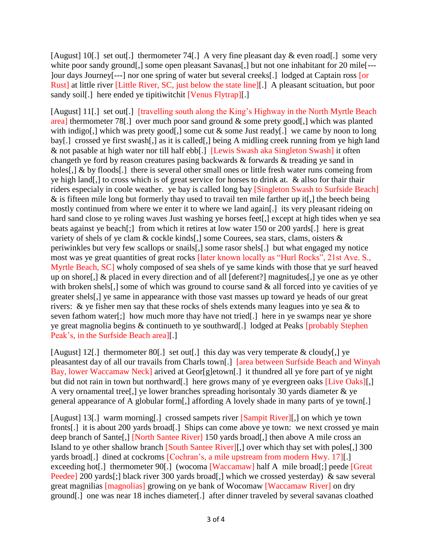[August] 10[.] set out[.] thermometer 74[.] A very fine pleasant day & even road[.] some very white poor sandy ground[,] some open pleasant Savanas[,] but not one inhabitant for 20 mile<sup>[---</sup> ]our days Journey[---] nor one spring of water but several creeks[.] lodged at Captain ross [or Rust] at little river [Little River, SC, just below the state line][.] A pleasant scituation, but poor sandy soil[.] here ended ye tipitiwitchit [Venus Flytrap][.]

[August] 11[.] set out[.] [travelling south along the King's Highway in the North Myrtle Beach area] thermometer 78[.] over much poor sand ground & some prety good[,] which was planted with indigo[,] which was prety good[,] some cut  $\&$  some Just ready[.] we came by noon to long bay[.] crossed ye first swash[,] as it is called[,] being A midling creek running from ye high land & not pasable at high water nor till half ebb[.] [Lewis Swash aka Singleton Swash] it often changeth ye ford by reason creatures pasing backwards & forwards & treading ye sand in holes[,] & by floods[.] there is several other small ones or little fresh water runs comeing from ye high land[,] to cross which is of great service for horses to drink at. & allso for thair thair riders especialy in coole weather. ye bay is called long bay [Singleton Swash to Surfside Beach] & is fifteen mile long but formerly thay used to travail ten mile farther up it[,] the beech being mostly continued from where we enter it to where we land again[.] its very pleasant rideing on hard sand close to ye roling waves Just washing ye horses feet[,] except at high tides when ye sea beats against ye beach[;] from which it retires at low water 150 or 200 yards[.] here is great variety of shels of ye clam & cockle kinds[,] some Courees, sea stars, clams, oisters & periwinkles but very few scallops or snails[,] some rasor shels[.] but what engaged my notice most was ye great quantities of great rocks [later known locally as "Hurl Rocks", 21st Ave. S., Myrtle Beach, SC] wholy composed of sea shels of ye same kinds with those that ye surf heaved up on shore[,] & placed in every direction and of all [deferent?] magnitudes[,] ye one as ye other with broken shels[,] some of which was ground to course sand & all forced into ye cavities of ye greater shels[,] ye same in appearance with those vast masses up toward ye heads of our great rivers:  $\&$  ye fisher men say that these rocks of shels extends many leagues into ye sea  $\&$  to seven fathom water[;] how much more thay have not tried[.] here in ye swamps near ye shore ye great magnolia begins & continueth to ye southward[.] lodged at Peaks [probably Stephen Peak's, in the Surfside Beach area][.]

[August] 12[.] thermometer 80[.] set out[.] this day was very temperate & cloudy[,] ye pleasantest day of all our travails from Charls town[.] [area between Surfside Beach and Winyah Bay, lower Waccamaw Neck] arived at Geor[g]etown[.] it thundred all ye fore part of ye night but did not rain in town but northward[.] here grows many of ye evergreen oaks [Live Oaks][.] A very ornamental tree[,] ye lower branches spreading horisontaly 30 yards diameter & ye general appearance of A globular form[,] affording A lovely shade in many parts of ye town[.]

[August] 13[.] warm morning[.] crossed sampets river [Sampit River][,] on which ye town fronts[.] it is about 200 yards broad[.] Ships can come above ye town: we next crossed ye main deep branch of Sante<sup>[,]</sup> [North Santee River] 150 yards broad<sup>[,]</sup> then above A mile cross an Island to ye other shallow branch [South Santee River][,] over which thay set with poles[,] 300 yards broad[.] dined at cockroms [Cochran's, a mile upstream from modern Hwy. 17][.] exceeding hot<sup>[1]</sup> thermometer 90<sup>[1]</sup> (wocoma **[Waccamaw]** half A mile broad<sup>[1]</sup>; peede **[Great**] Peedee] 200 yards[;] black river 300 yards broad[,] which we crossed yesterday) & saw several great magnilias [magnolias] growing on ye bank of Wocomaw [Waccamaw River] on dry ground[.] one was near 18 inches diameter[.] after dinner traveled by several savanas cloathed